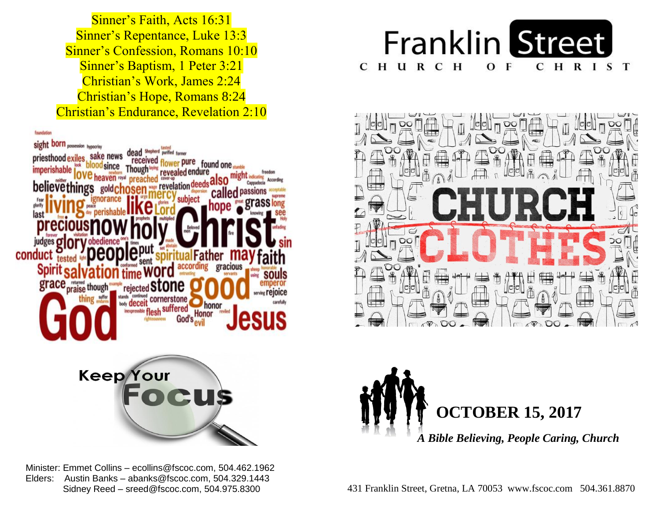Sinner's Confession, Romans 10:10  Sinner's Baptism, 1 Peter 3:21  Christian's Work, James 2:24  Christian's Hope, Romans 8:24  Christian's Endurance, Revelation 2:10 Sinner's Faith, Acts 16:31 Sinner's Repentance, Luke 13:3



 Minister: Emmet Collins – ecollins@fscoc.com, 504.462.1962  Elders: Austin Banks – abanks@fscoc.com, 504.329.1443 Sidney Reed – sreed@fscoc.com, 504.975.8300







 431 Franklin Street, Gretna, LA 70053 www.fscoc.com 504.361.8870